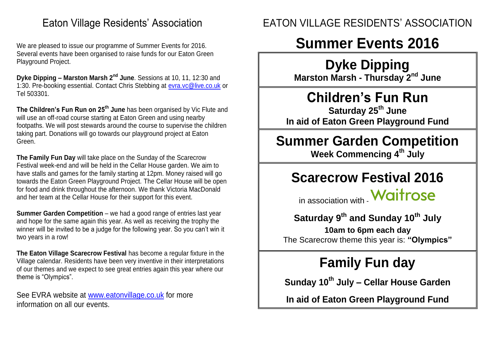### Eaton Village Residents' Association

We are pleased to issue our programme of Summer Events for 2016. Several events have been organised to raise funds for our Eaton Green Playground Project.

**Dyke Dipping – Marston Marsh 2nd June**. Sessions at 10, 11, 12:30 and 1:30. Pre-booking essential. Contact Chris Stebbing at [evra.vc@live.co.uk](mailto:evra.vc@live.co.uk) or Tel 503301.

**The Children's Fun Run on 25th June** has been organised by Vic Flute and will use an off-road course starting at Eaton Green and using nearby footpaths. We will post stewards around the course to supervise the children taking part. Donations will go towards our playground project at Eaton Green.

**The Family Fun Day** will take place on the Sunday of the Scarecrow Festival week-end and will be held in the Cellar House garden. We aim to have stalls and games for the family starting at 12pm. Money raised will go towards the Eaton Green Playground Project. The Cellar House will be open for food and drink throughout the afternoon. We thank Victoria MacDonald and her team at the Cellar House for their support for this event.

**Summer Garden Competition** – we had a good range of entries last year and hope for the same again this year. As well as receiving the trophy the winner will be invited to be a judge for the following year. So you can't win it two years in a row!

**The Eaton Village Scarecrow Festival** has become a regular fixture in the Village calendar. Residents have been very inventive in their interpretations of our themes and we expect to see great entries again this year where our theme is "Olympics".

See EVRA website at [www.eatonvillage.co.uk](http://www.eatonvillage.co.uk/) for more information on all our events.

### EATON VILLAGE RESIDENTS' ASSOCIATION

# **Summer Events 2016**

## **Dyke Dipping**

**Marston Marsh - Thursday 2nd June**

## **Children's Fun Run**

**Saturday 25th June In aid of Eaton Green Playground Fund**

# **Summer Garden Competition**

**Week Commencing 4 th July**

### **Scarecrow Festival 2016**

in association with **Waitrose** 

### **Saturday 9th and Sunday 10th July**

**10am to 6pm each day** The Scarecrow theme this year is: **"Olympics"**

# **Family Fun day**

**Sunday 10th July – Cellar House Garden**

**In aid of Eaton Green Playground Fund**